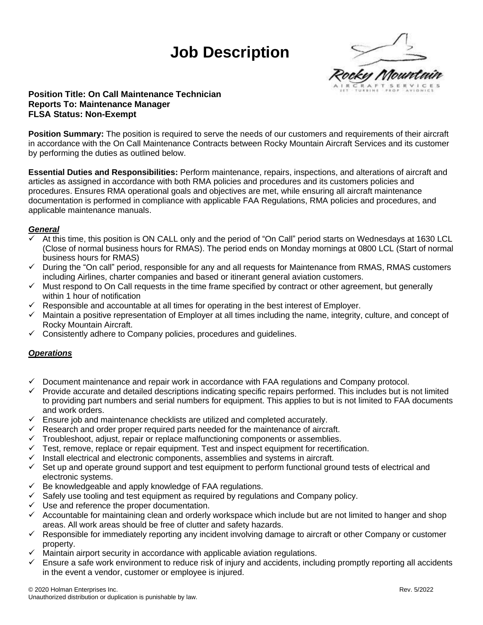# **Job Description**



## **Position Title: On Call Maintenance Technician Reports To: Maintenance Manager FLSA Status: Non-Exempt**

**Position Summary:** The position is required to serve the needs of our customers and requirements of their aircraft in accordance with the On Call Maintenance Contracts between Rocky Mountain Aircraft Services and its customer by performing the duties as outlined below.

**Essential Duties and Responsibilities:** Perform maintenance, repairs, inspections, and alterations of aircraft and articles as assigned in accordance with both RMA policies and procedures and its customers policies and procedures. Ensures RMA operational goals and objectives are met, while ensuring all aircraft maintenance documentation is performed in compliance with applicable FAA Regulations, RMA policies and procedures, and applicable maintenance manuals.

### *General*

- At this time, this position is ON CALL only and the period of "On Call" period starts on Wednesdays at 1630 LCL (Close of normal business hours for RMAS). The period ends on Monday mornings at 0800 LCL (Start of normal business hours for RMAS)
- ✓ During the "On call" period, responsible for any and all requests for Maintenance from RMAS, RMAS customers including Airlines, charter companies and based or itinerant general aviation customers.
- ✓ Must respond to On Call requests in the time frame specified by contract or other agreement, but generally within 1 hour of notification
- $\checkmark$  Responsible and accountable at all times for operating in the best interest of Employer.
- $\checkmark$  Maintain a positive representation of Employer at all times including the name, integrity, culture, and concept of Rocky Mountain Aircraft.
- $\checkmark$  Consistently adhere to Company policies, procedures and guidelines.

### *Operations*

- ✓ Document maintenance and repair work in accordance with FAA regulations and Company protocol.
- $\checkmark$  Provide accurate and detailed descriptions indicating specific repairs performed. This includes but is not limited to providing part numbers and serial numbers for equipment. This applies to but is not limited to FAA documents and work orders.
- $\checkmark$  Ensure job and maintenance checklists are utilized and completed accurately.
- $\checkmark$  Research and order proper required parts needed for the maintenance of aircraft.
- $\checkmark$  Troubleshoot, adjust, repair or replace malfunctioning components or assemblies.
- $\checkmark$  Test, remove, replace or repair equipment. Test and inspect equipment for recertification.
- $\checkmark$  Install electrical and electronic components, assemblies and systems in aircraft.
- ✓ Set up and operate ground support and test equipment to perform functional ground tests of electrical and electronic systems.
- $\checkmark$  Be knowledgeable and apply knowledge of FAA regulations.
- $\checkmark$  Safely use tooling and test equipment as required by regulations and Company policy.
- ✓ Use and reference the proper documentation.
- $\checkmark$  Accountable for maintaining clean and orderly workspace which include but are not limited to hanger and shop areas. All work areas should be free of clutter and safety hazards.
- ✓ Responsible for immediately reporting any incident involving damage to aircraft or other Company or customer property.
- $\checkmark$  Maintain airport security in accordance with applicable aviation regulations.
- $\checkmark$  Ensure a safe work environment to reduce risk of injury and accidents, including promptly reporting all accidents in the event a vendor, customer or employee is injured.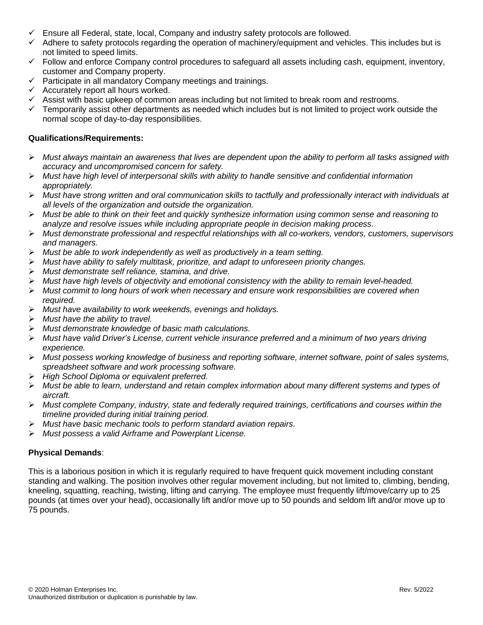- $\checkmark$  Ensure all Federal, state, local, Company and industry safety protocols are followed.
- ✓ Adhere to safety protocols regarding the operation of machinery/equipment and vehicles. This includes but is not limited to speed limits.
- $\checkmark$  Follow and enforce Company control procedures to safeguard all assets including cash, equipment, inventory, customer and Company property.
- ✓ Participate in all mandatory Company meetings and trainings.
- $\checkmark$  Accurately report all hours worked.
- Assist with basic upkeep of common areas including but not limited to break room and restrooms.
- $\checkmark$  Temporarily assist other departments as needed which includes but is not limited to project work outside the normal scope of day-to-day responsibilities.

### **Qualifications/Requirements:**

- ➢ *Must always maintain an awareness that lives are dependent upon the ability to perform all tasks assigned with accuracy and uncompromised concern for safety.*
- ➢ *Must have high level of interpersonal skills with ability to handle sensitive and confidential information appropriately.*
- ➢ *Must have strong written and oral communication skills to tactfully and professionally interact with individuals at all levels of the organization and outside the organization.*
- ➢ *Must be able to think on their feet and quickly synthesize information using common sense and reasoning to analyze and resolve issues while including appropriate people in decision making process.*
- ➢ *Must demonstrate professional and respectful relationships with all co-workers, vendors, customers, supervisors and managers.*
- ➢ *Must be able to work independently as well as productively in a team setting.*
- ➢ *Must have ability to safely multitask, prioritize, and adapt to unforeseen priority changes.*
- ➢ *Must demonstrate self reliance, stamina, and drive.*
- ➢ *Must have high levels of objectivity and emotional consistency with the ability to remain level-headed.*
- ➢ *Must commit to long hours of work when necessary and ensure work responsibilities are covered when required.*
- ➢ *Must have availability to work weekends, evenings and holidays.*
- ➢ *Must have the ability to travel.*
- ➢ *Must demonstrate knowledge of basic math calculations.*
- ➢ *Must have valid Driver's License, current vehicle insurance preferred and a minimum of two years driving experience.*
- ➢ *Must possess working knowledge of business and reporting software, internet software, point of sales systems, spreadsheet software and work processing software.*
- ➢ *High School Diploma or equivalent preferred.*
- ➢ *Must be able to learn, understand and retain complex information about many different systems and types of aircraft.*
- ➢ *Must complete Company, industry, state and federally required trainings, certifications and courses within the timeline provided during initial training period.*
- ➢ *Must have basic mechanic tools to perform standard aviation repairs.*
- ➢ *Must possess a valid Airframe and Powerplant License.*

### **Physical Demands**:

This is a laborious position in which it is regularly required to have frequent quick movement including constant standing and walking. The position involves other regular movement including, but not limited to, climbing, bending, kneeling, squatting, reaching, twisting, lifting and carrying. The employee must frequently lift/move/carry up to 25 pounds (at times over your head), occasionally lift and/or move up to 50 pounds and seldom lift and/or move up to 75 pounds.